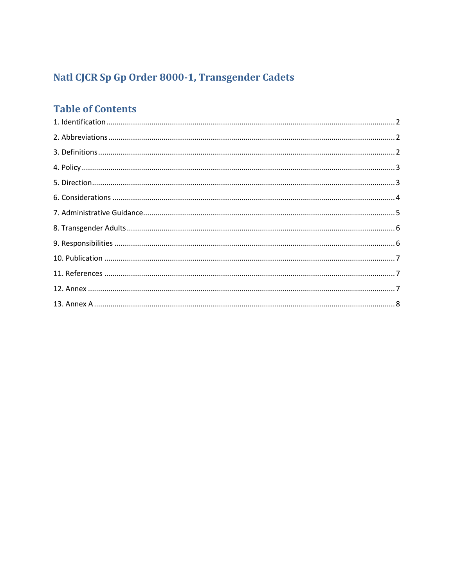# Natl CJCR Sp Gp Order 8000-1, Transgender Cadets

# **Table of Contents**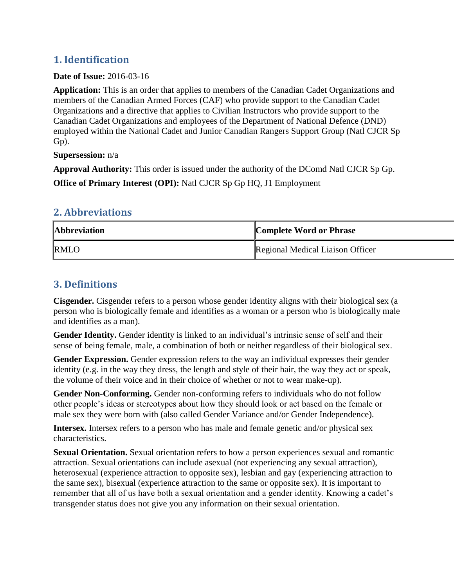### <span id="page-1-0"></span>**1. Identification**

#### **Date of Issue:** 2016-03-16

**Application:** This is an order that applies to members of the Canadian Cadet Organizations and members of the Canadian Armed Forces (CAF) who provide support to the Canadian Cadet Organizations and a directive that applies to Civilian Instructors who provide support to the Canadian Cadet Organizations and employees of the Department of National Defence (DND) employed within the National Cadet and Junior Canadian Rangers Support Group (Natl CJCR Sp Gp).

#### **Supersession:** n/a

**Approval Authority:** This order is issued under the authority of the DComd Natl CJCR Sp Gp. **Office of Primary Interest (OPI):** Natl CJCR Sp Gp HQ, J1 Employment

### <span id="page-1-1"></span>**2. Abbreviations**

| <b>Abbreviation</b> | <b>Complete Word or Phrase</b>          |
|---------------------|-----------------------------------------|
| <b>RMLO</b>         | <b>Regional Medical Liaison Officer</b> |

### <span id="page-1-2"></span>**3. Definitions**

**Cisgender.** Cisgender refers to a person whose gender identity aligns with their biological sex (a person who is biologically female and identifies as a woman or a person who is biologically male and identifies as a man).

**Gender Identity.** Gender identity is linked to an individual's intrinsic sense of self and their sense of being female, male, a combination of both or neither regardless of their biological sex.

**Gender Expression.** Gender expression refers to the way an individual expresses their gender identity (e.g. in the way they dress, the length and style of their hair, the way they act or speak, the volume of their voice and in their choice of whether or not to wear make-up).

**Gender Non-Conforming.** Gender non-conforming refers to individuals who do not follow other people's ideas or stereotypes about how they should look or act based on the female or male sex they were born with (also called Gender Variance and/or Gender Independence).

**Intersex.** Intersex refers to a person who has male and female genetic and/or physical sex characteristics.

**Sexual Orientation.** Sexual orientation refers to how a person experiences sexual and romantic attraction. Sexual orientations can include asexual (not experiencing any sexual attraction), heterosexual (experience attraction to opposite sex), lesbian and gay (experiencing attraction to the same sex), bisexual (experience attraction to the same or opposite sex). It is important to remember that all of us have both a sexual orientation and a gender identity. Knowing a cadet's transgender status does not give you any information on their sexual orientation.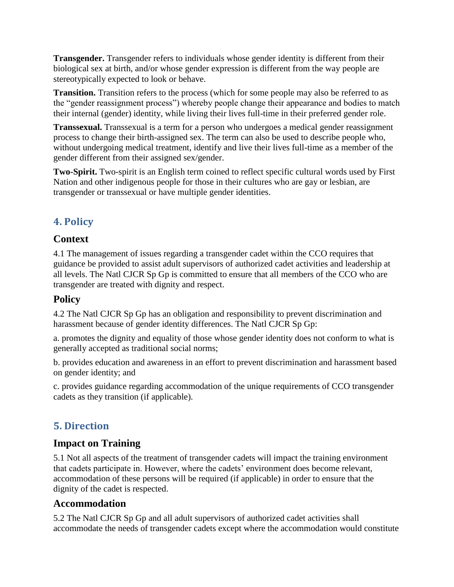**Transgender.** Transgender refers to individuals whose gender identity is different from their biological sex at birth, and/or whose gender expression is different from the way people are stereotypically expected to look or behave.

**Transition.** Transition refers to the process (which for some people may also be referred to as the "gender reassignment process") whereby people change their appearance and bodies to match their internal (gender) identity, while living their lives full-time in their preferred gender role.

**Transsexual.** Transsexual is a term for a person who undergoes a medical gender reassignment process to change their birth-assigned sex. The term can also be used to describe people who, without undergoing medical treatment, identify and live their lives full-time as a member of the gender different from their assigned sex/gender.

**Two-Spirit.** Two-spirit is an English term coined to reflect specific cultural words used by First Nation and other indigenous people for those in their cultures who are gay or lesbian, are transgender or transsexual or have multiple gender identities.

# <span id="page-2-0"></span>**4. Policy**

### **Context**

4.1 The management of issues regarding a transgender cadet within the CCO requires that guidance be provided to assist adult supervisors of authorized cadet activities and leadership at all levels. The Natl CJCR Sp Gp is committed to ensure that all members of the CCO who are transgender are treated with dignity and respect.

### **Policy**

4.2 The Natl CJCR Sp Gp has an obligation and responsibility to prevent discrimination and harassment because of gender identity differences. The Natl CJCR Sp Gp:

a. promotes the dignity and equality of those whose gender identity does not conform to what is generally accepted as traditional social norms;

b. provides education and awareness in an effort to prevent discrimination and harassment based on gender identity; and

c. provides guidance regarding accommodation of the unique requirements of CCO transgender cadets as they transition (if applicable).

### <span id="page-2-1"></span>**5. Direction**

### **Impact on Training**

5.1 Not all aspects of the treatment of transgender cadets will impact the training environment that cadets participate in. However, where the cadets' environment does become relevant, accommodation of these persons will be required (if applicable) in order to ensure that the dignity of the cadet is respected.

#### **Accommodation**

5.2 The Natl CJCR Sp Gp and all adult supervisors of authorized cadet activities shall accommodate the needs of transgender cadets except where the accommodation would constitute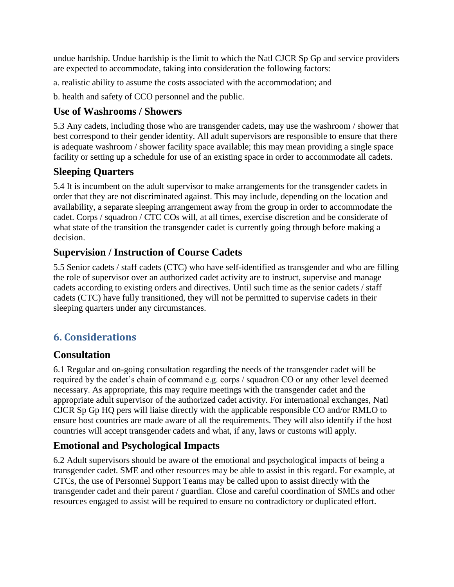undue hardship. Undue hardship is the limit to which the Natl CJCR Sp Gp and service providers are expected to accommodate, taking into consideration the following factors:

a. realistic ability to assume the costs associated with the accommodation; and

b. health and safety of CCO personnel and the public.

## **Use of Washrooms / Showers**

5.3 Any cadets, including those who are transgender cadets, may use the washroom / shower that best correspond to their gender identity. All adult supervisors are responsible to ensure that there is adequate washroom / shower facility space available; this may mean providing a single space facility or setting up a schedule for use of an existing space in order to accommodate all cadets.

### **Sleeping Quarters**

5.4 It is incumbent on the adult supervisor to make arrangements for the transgender cadets in order that they are not discriminated against. This may include, depending on the location and availability, a separate sleeping arrangement away from the group in order to accommodate the cadet. Corps / squadron / CTC COs will, at all times, exercise discretion and be considerate of what state of the transition the transgender cadet is currently going through before making a decision.

# **Supervision / Instruction of Course Cadets**

5.5 Senior cadets / staff cadets (CTC) who have self-identified as transgender and who are filling the role of supervisor over an authorized cadet activity are to instruct, supervise and manage cadets according to existing orders and directives. Until such time as the senior cadets / staff cadets (CTC) have fully transitioned, they will not be permitted to supervise cadets in their sleeping quarters under any circumstances.

# <span id="page-3-0"></span>**6. Considerations**

### **Consultation**

6.1 Regular and on-going consultation regarding the needs of the transgender cadet will be required by the cadet's chain of command e.g. corps / squadron CO or any other level deemed necessary. As appropriate, this may require meetings with the transgender cadet and the appropriate adult supervisor of the authorized cadet activity. For international exchanges, Natl CJCR Sp Gp HQ pers will liaise directly with the applicable responsible CO and/or RMLO to ensure host countries are made aware of all the requirements. They will also identify if the host countries will accept transgender cadets and what, if any, laws or customs will apply.

# **Emotional and Psychological Impacts**

6.2 Adult supervisors should be aware of the emotional and psychological impacts of being a transgender cadet. SME and other resources may be able to assist in this regard. For example, at CTCs, the use of Personnel Support Teams may be called upon to assist directly with the transgender cadet and their parent / guardian. Close and careful coordination of SMEs and other resources engaged to assist will be required to ensure no contradictory or duplicated effort.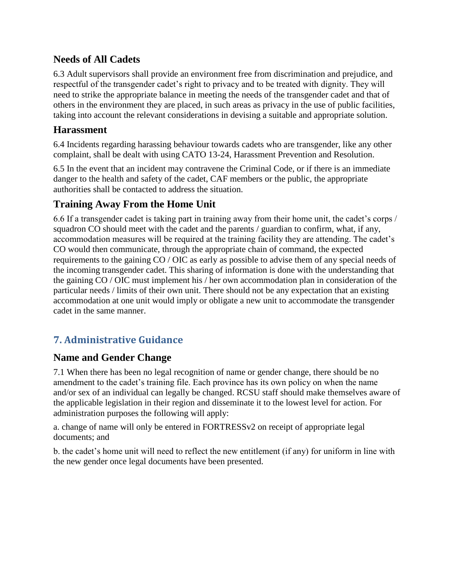#### **Needs of All Cadets**

6.3 Adult supervisors shall provide an environment free from discrimination and prejudice, and respectful of the transgender cadet's right to privacy and to be treated with dignity. They will need to strike the appropriate balance in meeting the needs of the transgender cadet and that of others in the environment they are placed, in such areas as privacy in the use of public facilities, taking into account the relevant considerations in devising a suitable and appropriate solution.

### **Harassment**

6.4 Incidents regarding harassing behaviour towards cadets who are transgender, like any other complaint, shall be dealt with using CATO 13-24, Harassment Prevention and Resolution.

6.5 In the event that an incident may contravene the Criminal Code, or if there is an immediate danger to the health and safety of the cadet, CAF members or the public, the appropriate authorities shall be contacted to address the situation.

### **Training Away From the Home Unit**

6.6 If a transgender cadet is taking part in training away from their home unit, the cadet's corps / squadron CO should meet with the cadet and the parents / guardian to confirm, what, if any, accommodation measures will be required at the training facility they are attending. The cadet's CO would then communicate, through the appropriate chain of command, the expected requirements to the gaining CO / OIC as early as possible to advise them of any special needs of the incoming transgender cadet. This sharing of information is done with the understanding that the gaining CO / OIC must implement his / her own accommodation plan in consideration of the particular needs / limits of their own unit. There should not be any expectation that an existing accommodation at one unit would imply or obligate a new unit to accommodate the transgender cadet in the same manner.

# <span id="page-4-0"></span>**7. Administrative Guidance**

### **Name and Gender Change**

7.1 When there has been no legal recognition of name or gender change, there should be no amendment to the cadet's training file. Each province has its own policy on when the name and/or sex of an individual can legally be changed. RCSU staff should make themselves aware of the applicable legislation in their region and disseminate it to the lowest level for action. For administration purposes the following will apply:

a. change of name will only be entered in FORTRESSv2 on receipt of appropriate legal documents; and

b. the cadet's home unit will need to reflect the new entitlement (if any) for uniform in line with the new gender once legal documents have been presented.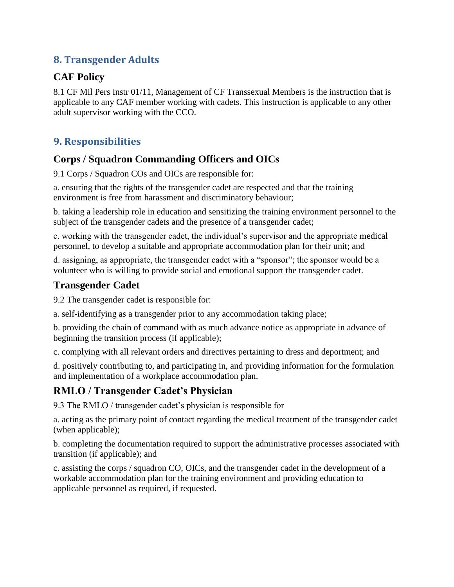### <span id="page-5-0"></span>**8. Transgender Adults**

### **CAF Policy**

8.1 CF Mil Pers Instr 01/11, Management of CF Transsexual Members is the instruction that is applicable to any CAF member working with cadets. This instruction is applicable to any other adult supervisor working with the CCO.

# <span id="page-5-1"></span>**9. Responsibilities**

### **Corps / Squadron Commanding Officers and OICs**

9.1 Corps / Squadron COs and OICs are responsible for:

a. ensuring that the rights of the transgender cadet are respected and that the training environment is free from harassment and discriminatory behaviour;

b. taking a leadership role in education and sensitizing the training environment personnel to the subject of the transgender cadets and the presence of a transgender cadet;

c. working with the transgender cadet, the individual's supervisor and the appropriate medical personnel, to develop a suitable and appropriate accommodation plan for their unit; and

d. assigning, as appropriate, the transgender cadet with a "sponsor"; the sponsor would be a volunteer who is willing to provide social and emotional support the transgender cadet.

# **Transgender Cadet**

9.2 The transgender cadet is responsible for:

a. self-identifying as a transgender prior to any accommodation taking place;

b. providing the chain of command with as much advance notice as appropriate in advance of beginning the transition process (if applicable);

c. complying with all relevant orders and directives pertaining to dress and deportment; and

d. positively contributing to, and participating in, and providing information for the formulation and implementation of a workplace accommodation plan.

### **RMLO / Transgender Cadet's Physician**

9.3 The RMLO / transgender cadet's physician is responsible for

a. acting as the primary point of contact regarding the medical treatment of the transgender cadet (when applicable);

b. completing the documentation required to support the administrative processes associated with transition (if applicable); and

c. assisting the corps / squadron CO, OICs, and the transgender cadet in the development of a workable accommodation plan for the training environment and providing education to applicable personnel as required, if requested.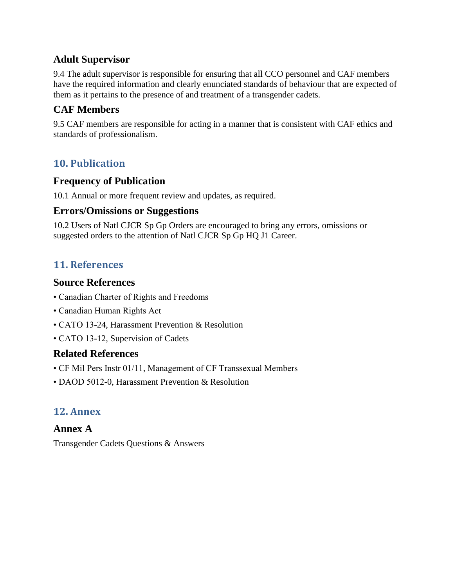#### **Adult Supervisor**

9.4 The adult supervisor is responsible for ensuring that all CCO personnel and CAF members have the required information and clearly enunciated standards of behaviour that are expected of them as it pertains to the presence of and treatment of a transgender cadets.

## **CAF Members**

9.5 CAF members are responsible for acting in a manner that is consistent with CAF ethics and standards of professionalism.

### <span id="page-6-0"></span>**10. Publication**

#### **Frequency of Publication**

10.1 Annual or more frequent review and updates, as required.

#### **Errors/Omissions or Suggestions**

10.2 Users of Natl CJCR Sp Gp Orders are encouraged to bring any errors, omissions or suggested orders to the attention of Natl CJCR Sp Gp HQ J1 Career.

### <span id="page-6-1"></span>**11. References**

#### **Source References**

- Canadian Charter of Rights and Freedoms
- Canadian Human Rights Act
- CATO 13-24, Harassment Prevention & Resolution
- CATO 13-12, Supervision of Cadets

#### **Related References**

- CF Mil Pers Instr 01/11, Management of CF Transsexual Members
- <span id="page-6-2"></span>• DAOD 5012-0, Harassment Prevention & Resolution

### **12. Annex**

#### **Annex A**

Transgender Cadets Questions & Answers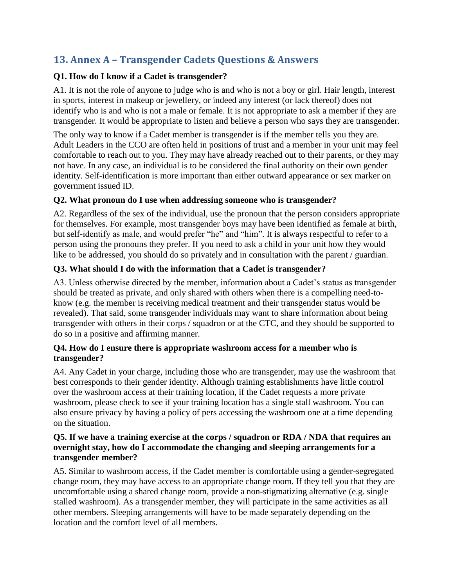# <span id="page-7-0"></span>**13. Annex A – Transgender Cadets Questions & Answers**

#### **Q1. How do I know if a Cadet is transgender?**

A1. It is not the role of anyone to judge who is and who is not a boy or girl. Hair length, interest in sports, interest in makeup or jewellery, or indeed any interest (or lack thereof) does not identify who is and who is not a male or female. It is not appropriate to ask a member if they are transgender. It would be appropriate to listen and believe a person who says they are transgender.

The only way to know if a Cadet member is transgender is if the member tells you they are. Adult Leaders in the CCO are often held in positions of trust and a member in your unit may feel comfortable to reach out to you. They may have already reached out to their parents, or they may not have. In any case, an individual is to be considered the final authority on their own gender identity. Self-identification is more important than either outward appearance or sex marker on government issued ID.

#### **Q2. What pronoun do I use when addressing someone who is transgender?**

A2. Regardless of the sex of the individual, use the pronoun that the person considers appropriate for themselves. For example, most transgender boys may have been identified as female at birth, but self-identify as male, and would prefer "he" and "him". It is always respectful to refer to a person using the pronouns they prefer. If you need to ask a child in your unit how they would like to be addressed, you should do so privately and in consultation with the parent / guardian.

#### **Q3. What should I do with the information that a Cadet is transgender?**

A3. Unless otherwise directed by the member, information about a Cadet's status as transgender should be treated as private, and only shared with others when there is a compelling need-toknow (e.g. the member is receiving medical treatment and their transgender status would be revealed). That said, some transgender individuals may want to share information about being transgender with others in their corps / squadron or at the CTC, and they should be supported to do so in a positive and affirming manner.

#### **Q4. How do I ensure there is appropriate washroom access for a member who is transgender?**

A4. Any Cadet in your charge, including those who are transgender, may use the washroom that best corresponds to their gender identity. Although training establishments have little control over the washroom access at their training location, if the Cadet requests a more private washroom, please check to see if your training location has a single stall washroom. You can also ensure privacy by having a policy of pers accessing the washroom one at a time depending on the situation.

#### **Q5. If we have a training exercise at the corps / squadron or RDA / NDA that requires an overnight stay, how do I accommodate the changing and sleeping arrangements for a transgender member?**

A5. Similar to washroom access, if the Cadet member is comfortable using a gender-segregated change room, they may have access to an appropriate change room. If they tell you that they are uncomfortable using a shared change room, provide a non-stigmatizing alternative (e.g. single stalled washroom). As a transgender member, they will participate in the same activities as all other members. Sleeping arrangements will have to be made separately depending on the location and the comfort level of all members.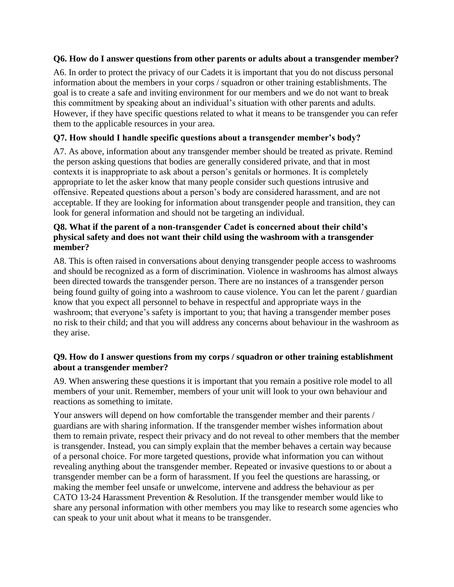#### **Q6. How do I answer questions from other parents or adults about a transgender member?**

A6. In order to protect the privacy of our Cadets it is important that you do not discuss personal information about the members in your corps / squadron or other training establishments. The goal is to create a safe and inviting environment for our members and we do not want to break this commitment by speaking about an individual's situation with other parents and adults. However, if they have specific questions related to what it means to be transgender you can refer them to the applicable resources in your area.

#### **Q7. How should I handle specific questions about a transgender member's body?**

A7. As above, information about any transgender member should be treated as private. Remind the person asking questions that bodies are generally considered private, and that in most contexts it is inappropriate to ask about a person's genitals or hormones. It is completely appropriate to let the asker know that many people consider such questions intrusive and offensive. Repeated questions about a person's body are considered harassment, and are not acceptable. If they are looking for information about transgender people and transition, they can look for general information and should not be targeting an individual.

#### **Q8. What if the parent of a non-transgender Cadet is concerned about their child's physical safety and does not want their child using the washroom with a transgender member?**

A8. This is often raised in conversations about denying transgender people access to washrooms and should be recognized as a form of discrimination. Violence in washrooms has almost always been directed towards the transgender person. There are no instances of a transgender person being found guilty of going into a washroom to cause violence. You can let the parent / guardian know that you expect all personnel to behave in respectful and appropriate ways in the washroom; that everyone's safety is important to you; that having a transgender member poses no risk to their child; and that you will address any concerns about behaviour in the washroom as they arise.

#### **Q9. How do I answer questions from my corps / squadron or other training establishment about a transgender member?**

A9. When answering these questions it is important that you remain a positive role model to all members of your unit. Remember, members of your unit will look to your own behaviour and reactions as something to imitate.

Your answers will depend on how comfortable the transgender member and their parents / guardians are with sharing information. If the transgender member wishes information about them to remain private, respect their privacy and do not reveal to other members that the member is transgender. Instead, you can simply explain that the member behaves a certain way because of a personal choice. For more targeted questions, provide what information you can without revealing anything about the transgender member. Repeated or invasive questions to or about a transgender member can be a form of harassment. If you feel the questions are harassing, or making the member feel unsafe or unwelcome, intervene and address the behaviour as per CATO 13-24 Harassment Prevention & Resolution. If the transgender member would like to share any personal information with other members you may like to research some agencies who can speak to your unit about what it means to be transgender.